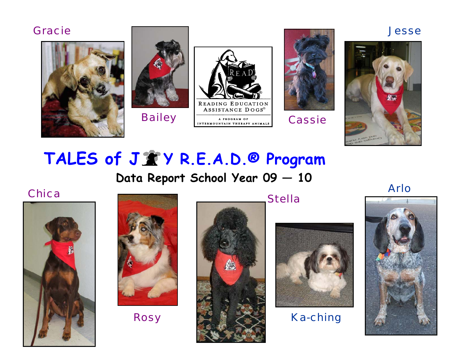### *Gracie Jesse*











# TALES of  $J \mathcal{X}$  Y R.E.A.D.<sup>®</sup> Program

 **Data Report School Year 09 — 10** 

*Chica* 







*Stella* 



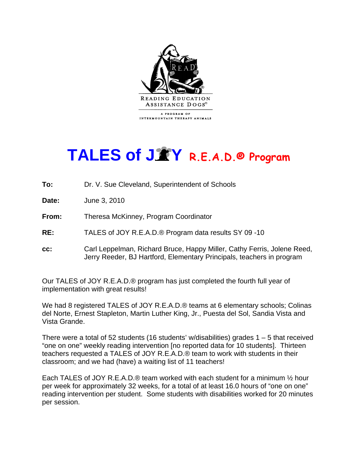

## **TALES of J Y R.E.A.D.® Program**

- **To:** Dr. V. Sue Cleveland, Superintendent of Schools
- **Date:** June 3, 2010
- **From:** Theresa McKinney, Program Coordinator
- **RE:** TALES of JOY R.E.A.D.® Program data results SY 09 -10
- **cc:** Carl Leppelman, Richard Bruce, Happy Miller, Cathy Ferris, Jolene Reed, Jerry Reeder, BJ Hartford, Elementary Principals, teachers in program

Our TALES of JOY R.E.A.D.® program has just completed the fourth full year of implementation with great results!

We had 8 registered TALES of JOY R.E.A.D.® teams at 6 elementary schools; Colinas del Norte, Ernest Stapleton, Martin Luther King, Jr., Puesta del Sol, Sandia Vista and Vista Grande.

There were a total of 52 students (16 students' w/disabilities) grades  $1 - 5$  that received "one on one" weekly reading intervention [no reported data for 10 students]. Thirteen teachers requested a TALES of JOY R.E.A.D.® team to work with students in their classroom; and we had (have) a waiting list of 11 teachers!

Each TALES of JOY R.E.A.D.® team worked with each student for a minimum ½ hour per week for approximately 32 weeks, for a total of at least 16.0 hours of "one on one" reading intervention per student. Some students with disabilities worked for 20 minutes per session.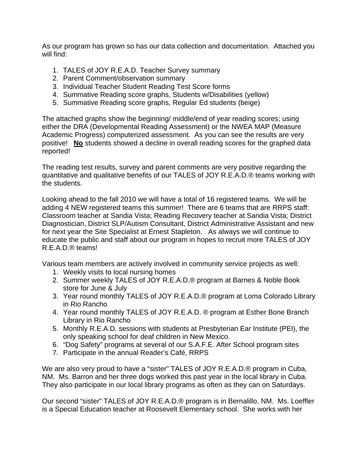As our program has grown so has our data collection and documentation. Attached you will find:

- 1. TALES of JOY R.E.A.D. Teacher Survey summary
- 2. Parent Comment/observation summary
- 3. Individual Teacher Student Reading Test Score forms
- 4. Summative Reading score graphs, Students w/Disabilities (yellow)
- 5. Summative Reading score graphs, Regular Ed students (beige)

The attached graphs show the beginning/ middle/end of year reading scores; using either the DRA (Developmental Reading Assessment) or the NWEA MAP (Measure Academic Progress) computerized assessment. As you can see the results are very positive! **No** students showed a decline in overall reading scores for the graphed data reported!

The reading test results, survey and parent comments are very positive regarding the quantitative and qualitative benefits of our TALES of JOY R.E.A.D.® teams working with the students.

Looking ahead to the fall 2010 we will have a total of 16 registered teams. We will be adding 4 NEW registered teams this summer! There are 6 teams that are RRPS staff: Classroom teacher at Sandia Vista; Reading Recovery teacher at Sandia Vista; District Diagnostician, District SLP/Autism Consultant, District Administrative Assistant and new for next year the Site Specialist at Ernest Stapleton. As always we will continue to educate the public and staff about our program in hopes to recruit more TALES of JOY R.E.A.D.® teams!

Various team members are actively involved in community service projects as well:

- 1. Weekly visits to local nursing homes
- 2. Summer weekly TALES of JOY R.E.A.D.® program at Barnes & Noble Book store for June & July
- 3. Year round monthly TALES of JOY R.E.A.D.® program at Loma Colorado Library in Rio Rancho
- 4. Year round monthly TALES of JOY R.E.A.D. ® program at Esther Bone Branch Library in Rio Rancho
- 5. Monthly R.E.A.D. sessions with students at Presbyterian Ear Institute (PEI), the only speaking school for deaf children in New Mexico.
- 6. "Dog Safety" programs at several of our S.A.F.E. After School program sites
- 7. Participate in the annual Reader's Café, RRPS

We are also very proud to have a "sister" TALES of JOY R.E.A.D.® program in Cuba, NM. Ms. Barron and her three dogs worked this past year in the local library in Cuba. They also participate in our local library programs as often as they can on Saturdays.

Our second "sister" TALES of JOY R.E.A.D.® program is in Bernalillo, NM. Ms. Loeffler is a Special Education teacher at Roosevelt Elementary school. She works with her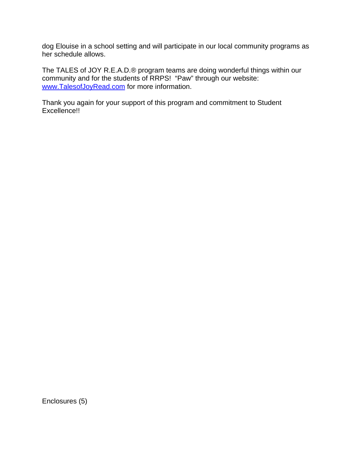dog Elouise in a school setting and will participate in our local community programs as her schedule allows.

The TALES of JOY R.E.A.D.® program teams are doing wonderful things within our community and for the students of RRPS! "Paw" through our website: www.TalesofJoyRead.com for more information.

Thank you again for your support of this program and commitment to Student Excellence!!

Enclosures (5)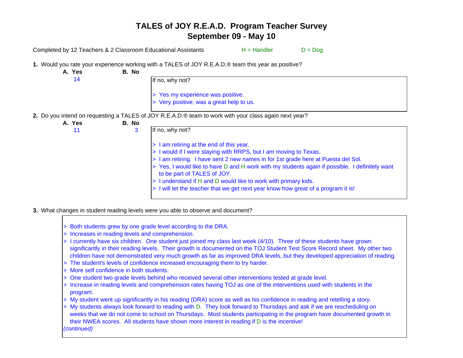Completed by 12 Teachers & 2 Classroom Educational Assistants  $H =$  Handler  $D =$  Dog

**1.** Would you rate your experience working with a TALES of JOY R.E.A.D.® team this year as positive?

| A. Yes | B. No |                                                                                                                               |
|--------|-------|-------------------------------------------------------------------------------------------------------------------------------|
| 14     |       | If no, why not?                                                                                                               |
|        |       | > Yes my experience was positive.                                                                                             |
|        |       | > Very positive, was a great help to us.                                                                                      |
|        |       | 2. Do you intend on requesting a TALES of JOY R.E.A.D.® team to work with your class again next year?                         |
| A. Yes | B. No |                                                                                                                               |
| 11     | 3     | If no, why not?                                                                                                               |
|        |       | $\vert$ > 1 am retiring at the end of this year.                                                                              |
|        |       | > I would if I were staying with RRPS, but I am moving to Texas.                                                              |
|        |       | > I am retiring. I have sent 2 new names in for 1st grade here at Puesta del Sol.                                             |
|        |       | > Yes, I would like to have D and H work with my students again if possible. I definitely want<br>to be part of TALES of JOY. |
|        |       | > I understand if H and D would like to work with primary kids.                                                               |
|        |       | > I will let the teacher that we get next year know how great of a program it is!                                             |

- **3.** What changes in student reading levels were you able to observe and document?
	- > Both students grew by one grade level according to the DRA.
	- > Increases in reading levels and comprehension.
	- > I currently have six children. One student just joined my class last week (4/10). Three of these students have grown significantly in their reading levels. Their growth is documented on the TOJ Student Test Score Record sheet. My other tw ochildren have not demonstrated very much growth as far as improved DRA levels, but they developed appreciation of reading.
	- > The student's levels of confidence increased encouraging them to try harder.
	- > More self confidence in both students.
	- > One student two grade levels behind who received several other interventions tested at grade level.
	- > Increase in reading levels and comprehension rates having TOJ as one of the interventions used with students in the program.
	- > My student went up significantly in his reading (DRA) score as well as his confidence in reading and retelling a story.
	- > My students always look forward to reading with D. They look forward to Thursdays and ask if we are rescheduling on weeks that we do not come to school on Thursdays. Most students participating in the program have documented growth in their NWEA scores. All students have shown more interest in reading if D is the incentive! *(continued)*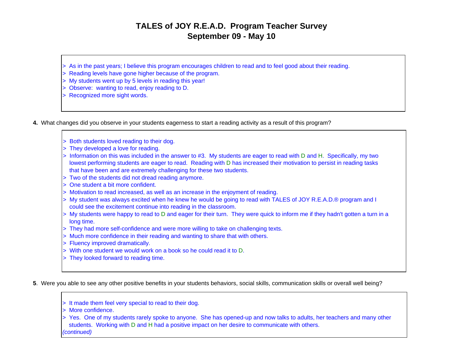- > As in the past years; I believe this program encourages children to read and to feel good about their reading.
- > Reading levels have gone higher because of the program.
- > My students went up by 5 levels in reading this year!
- > Observe: wanting to read, enjoy reading to D.
- > Recognized more sight words.
- **4.** What changes did you observe in your students eagerness to start a reading activity as a result of this program?
	- > Both students loved reading to their dog.
	- > They developed a love for reading.
	- > Information on this was included in the answer to #3. My students are eager to read with D and H. Specifically, my two lowest performing students are eager to read. Reading with D has increased their motivation to persist in reading tasks that have been and are extremely challenging for these two students.
	- > Two of the students did not dread reading anymore.
	- > One student a bit more confident.
	- > Motivation to read increased, as well as an increase in the enjoyment of reading.
	- > My student was always excited when he knew he would be going to read with TALES of JOY R.E.A.D.® program and I could see the excitement continue into reading in the classroom.
	- > My students were happy to read to D and eager for their turn. They were quick to inform me if they hadn't gotten a turn in a long time.
	- > They had more self-confidence and were more willing to take on challenging texts.
	- > Much more confidence in their reading and wanting to share that with others.
	- > Fluency improved dramatically.
	- > With one student we would work on a book so he could read it to D.
	- > They looked forward to reading time.

**5**. Were you able to see any other positive benefits in your students behaviors, social skills, communication skills or overall well being?

- > It made them feel very special to read to their dog.
- > More confidence.
- > Yes. One of my students rarely spoke to anyone. She has opened-up and now talks to adults, her teachers and many other students. Working with D and H had a positive impact on her desire to communicate with others. *(continued)*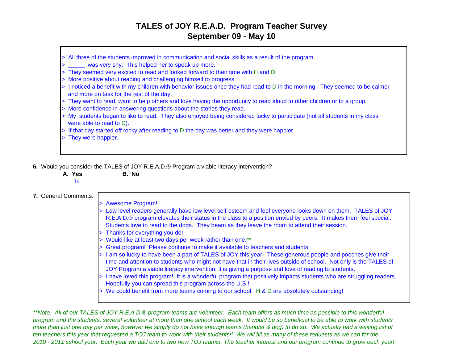- > All three of the students improved in communication and social skills as a result of the program.
- > was very shy. This helped her to speak up more.
- > They seemed very excited to read and looked forward to their time with H and D.
- > More positive about reading and challenging himself to progress.
- > I noticed a benefit with my children with behavior issues once they had read to D in the morning. They seemed to be calmer and more on task for the rest of the day.
- > They want to read, want to help others and love having the opportunity to read aloud to other children or to a group.
- > More confidence in answering questions about the stories they read.
- > My students began to like to read. They also enjoyed being considered lucky to participate (not all students in my class were able to read to D).
- > If that day started off rocky after reading to D the day was better and they were happier.
- > They were happier.
- **6.** Would you consider the TALES of JOY R.E.A.D.® Program a viable literacy intervention?
	- **A. Yes B. No**14

#### **7.** General Comments:

> Awesome Program! > Low level readers generally have low level self-esteem and feel everyone looks down on them. TALES of JOY R.E.A.D.® program elevates their status in the class to a position envied by peers. It makes them feel special. Students love to read to the dogs. They beam as they leave the room to attend their session. > Thanks for everything you do! > Would like at least two days per week rather than one.\*\* > Great program! Please continue to make it available to teachers and students. > I am so lucky to have been a part of TALES of JOY this year. These generous people and pooches give their time and attention to students who might not have that in their lives outside of school. Not only is the TALES of JOY Program a viable literacy intervention, it is giving a purpose and love of reading to students. > I have loved this program! It is a wonderful program that positively impacts students who are struggling readers. Hopefully you can spread this program across the U.S.! > We could benefit from more teams coming to our school. H & D are absolutely outstanding!

*\*\*Note: All of our TALES of JOY R.E.A.D.® program teams are volunteer. Each team offers as much time as possible to this wonderful program and the students, several volunteer at more than one school each week. It would be so beneficial to be able to work with students more than just one day per week; however we simply do not have enough teams (handler & dog) to do so. We actually had a waiting list of ten teachers this year that requested a TOJ team to work with their students!! We will fill as many of these requests as we can for the 2010 - 2011 school year. Each year we add one to two new TOJ teams! The teacher interest and our program continue to grow each year!*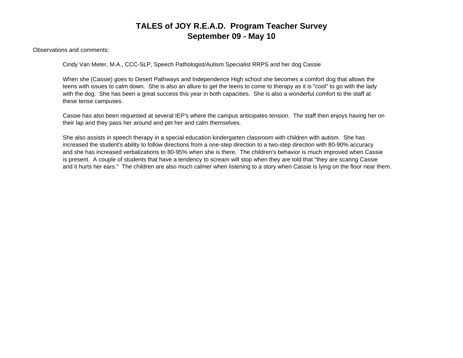Observations and comments:

Cindy Van Meter, M.A., CCC-SLP, Speech Pathologist/Autism Specialist RRPS and her dog Cassie

When she (Cassie) goes to Desert Pathways and Independence High school she becomes a comfort dog that allows the teens with issues to calm down. She is also an allure to get the teens to come to therapy as it is "cool" to go with the lady with the dog. She has been a great success this year in both capacities. She is also a wonderful comfort to the staff at these tense campuses.

Cassie has also been requested at several IEP's where the campus anticipates tension. The staff then enjoys having her on their lap and they pass her around and pet her and calm themselves.

She also assists in speech therapy in a special education kindergarten classroom with children with autism. She has increased the student's ability to follow directions from a one-step direction to a two-step direction with 80-90% accuracy and she has increased verbalizations to 80-95% when she is there. The children's behavior is much improved when Cassie is present. A couple of students that have a tendency to scream will stop when they are told that "they are scaring Cassie and it hurts her ears." The children are also much calmer when listening to a story when Cassie is lying on the floor near them.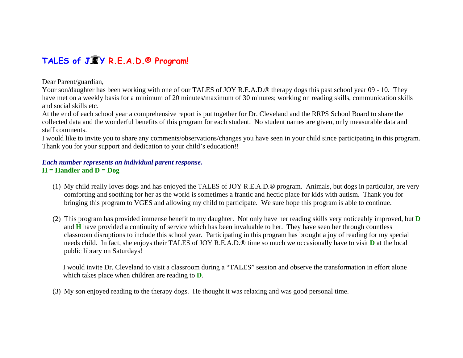### **TALES of J Y R.E.A.D.® Program!**

Dear Parent/guardian,

Your son/daughter has been working with one of our TALES of JOY R.E.A.D.® therapy dogs this past school year 09 - 10. They have met on a weekly basis for a minimum of 20 minutes/maximum of 30 minutes; working on reading skills, communication skills and social skills etc.

At the end of each school year a comprehensive report is put together for Dr. Cleveland and the RRPS School Board to share the collected data and the wonderful benefits of this program for each student. No student names are given, only measurable data and staff comments.

I would like to invite you to share any comments/observations/changes you have seen in your child since participating in this program. Thank you for your support and dedication to your child's education!!

#### *Each number represents an individual parent response.*  **H = Handler and D = Dog**

- (1) My child really loves dogs and has enjoyed the TALES of JOY R.E.A.D.® program. Animals, but dogs in particular, are very comforting and soothing for her as the world is sometimes a frantic and hectic place for kids with autism. Thank you for bringing this program to VGES and allowing my child to participate. We sure hope this program is able to continue.
- (2) This program has provided immense benefit to my daughter. Not only have her reading skills very noticeably improved, but **D**  and **H** have provided a continuity of service which has been invaluable to her. They have seen her through countless classroom disruptions to include this school year. Participating in this program has brought a joy of reading for my special needs child. In fact, she enjoys their TALES of JOY R.E.A.D.® time so much we occasionally have to visit **D** at the local public library on Saturdays!

 I would invite Dr. Cleveland to visit a classroom during a "TALES" session and observe the transformation in effort alone which takes place when children are reading to **D**.

(3) My son enjoyed reading to the therapy dogs. He thought it was relaxing and was good personal time.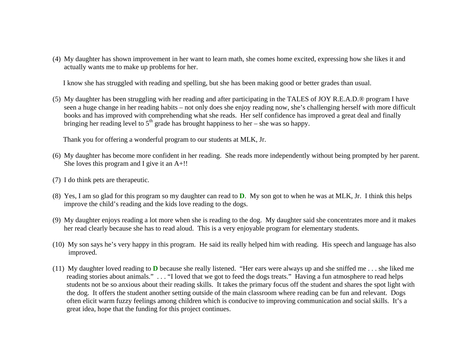(4) My daughter has shown improvement in her want to learn math, she comes home excited, expressing how she likes it and actually wants me to make up problems for her.

I know she has struggled with reading and spelling, but she has been making good or better grades than usual.

(5) My daughter has been struggling with her reading and after participating in the TALES of JOY R.E.A.D.® program I have seen a huge change in her reading habits – not only does she enjoy reading now, she's challenging herself with more difficult books and has improved with comprehending what she reads. Her self confidence has improved a great deal and finally bringing her reading level to  $5<sup>th</sup>$  grade has brought happiness to her – she was so happy.

Thank you for offering a wonderful program to our students at MLK, Jr.

- (6) My daughter has become more confident in her reading. She reads more independently without being prompted by her parent. She loves this program and I give it an A+!!
- (7) I do think pets are therapeutic.
- (8) Yes, I am so glad for this program so my daughter can read to **D**. My son got to when he was at MLK, Jr. I think this helps improve the child's reading and the kids love reading to the dogs.
- (9) My daughter enjoys reading a lot more when she is reading to the dog. My daughter said she concentrates more and it makes her read clearly because she has to read aloud. This is a very enjoyable program for elementary students.
- (10) My son says he's very happy in this program. He said its really helped him with reading. His speech and language has also improved.
- (11) My daughter loved reading to **D** because she really listened. "Her ears were always up and she sniffed me . . . she liked me reading stories about animals." . . . "I loved that we got to feed the dogs treats." Having a fun atmosphere to read helps students not be so anxious about their reading skills. It takes the primary focus off the student and shares the spot light with the dog. It offers the student another setting outside of the main classroom where reading can be fun and relevant. Dogs often elicit warm fuzzy feelings among children which is conducive to improving communication and social skills. It's a great idea, hope that the funding for this project continues.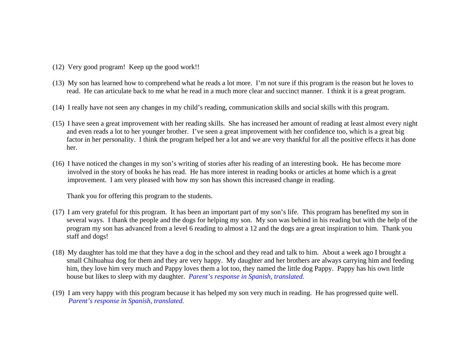- (12) Very good program! Keep up the good work!!
- (13) My son has learned how to comprehend what he reads a lot more. I'm not sure if this program is the reason but he loves to read. He can articulate back to me what he read in a much more clear and succinct manner. I think it is a great program.
- (14) I really have not seen any changes in my child's reading, communication skills and social skills with this program.
- (15) I have seen a great improvement with her reading skills. She has increased her amount of reading at least almost every night and even reads a lot to her younger brother. I've seen a great improvement with her confidence too, which is a great big factor in her personality. I think the program helped her a lot and we are very thankful for all the positive effects it has done her.
- (16) I have noticed the changes in my son's writing of stories after his reading of an interesting book. He has become more involved in the story of books he has read. He has more interest in reading books or articles at home which is a great improvement. I am very pleased with how my son has shown this increased change in reading.

Thank you for offering this program to the students.

- (17) I am very grateful for this program. It has been an important part of my son's life. This program has benefited my son in several ways. I thank the people and the dogs for helping my son. My son was behind in his reading but with the help of the program my son has advanced from a level 6 reading to almost a 12 and the dogs are a great inspiration to him. Thank you staff and dogs!
- (18) My daughter has told me that they have a dog in the school and they read and talk to him. About a week ago I brought a small Chihuahua dog for them and they are very happy. My daughter and her brothers are always carrying him and feeding him, they love him very much and Pappy loves them a lot too, they named the little dog Pappy. Pappy has his own little house but likes to sleep with my daughter. *Parent's response in Spanish, translated.*
- (19) I am very happy with this program because it has helped my son very much in reading. He has progressed quite well. *Parent's response in Spanish, translated.*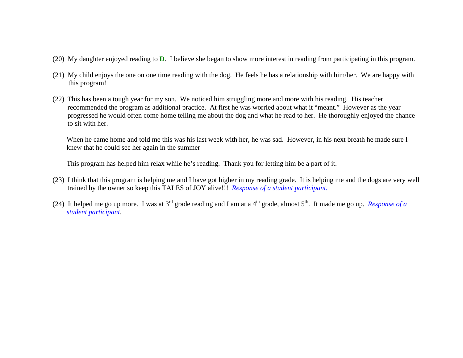- (20) My daughter enjoyed reading to **D**. I believe she began to show more interest in reading from participating in this program.
- (21) My child enjoys the one on one time reading with the dog. He feels he has a relationship with him/her. We are happy with this program!
- (22) This has been a tough year for my son. We noticed him struggling more and more with his reading. His teacher recommended the program as additional practice. At first he was worried about what it "meant." However as the year progressed he would often come home telling me about the dog and what he read to her. He thoroughly enjoyed the chance to sit with her.

When he came home and told me this was his last week with her, he was sad. However, in his next breath he made sure I knew that he could see her again in the summer

This program has helped him relax while he's reading. Thank you for letting him be a part of it.

- (23) I think that this program is helping me and I have got higher in my reading grade. It is helping me and the dogs are very well trained by the owner so keep this TALES of JOY alive!!! *Response of a student participant.*
- (24) It helped me go up more. I was at  $3^{rd}$  grade reading and I am at a  $4^{th}$  grade, almost  $5^{th}$ . It made me go up. *Response of a student participant*.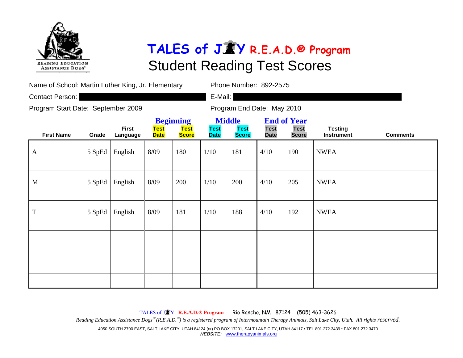

| Name of School: Martin Luther King, Jr. Elementary |        |                          |                            |                                                 | Phone Number: 892-2575     |                                              |                            |                                                   |                                     |                 |  |  |
|----------------------------------------------------|--------|--------------------------|----------------------------|-------------------------------------------------|----------------------------|----------------------------------------------|----------------------------|---------------------------------------------------|-------------------------------------|-----------------|--|--|
| Contact Person:                                    |        |                          |                            |                                                 | E-Mail:                    |                                              |                            |                                                   |                                     |                 |  |  |
| Program Start Date: September 2009                 |        |                          |                            |                                                 |                            |                                              | Program End Date: May 2010 |                                                   |                                     |                 |  |  |
| <b>First Name</b>                                  | Grade  | <b>First</b><br>Language | <b>Test</b><br><b>Date</b> | <b>Beginning</b><br><b>Test</b><br><b>Score</b> | <b>Test</b><br><b>Date</b> | <b>Middle</b><br><b>Test</b><br><b>Score</b> | <b>Test</b><br><b>Date</b> | <b>End of Year</b><br><b>Test</b><br><b>Score</b> | <b>Testing</b><br><b>Instrument</b> | <b>Comments</b> |  |  |
| A                                                  | 5 SpEd | English                  | 8/09                       | 180                                             | 1/10                       | 181                                          | 4/10                       | 190                                               | <b>NWEA</b>                         |                 |  |  |
|                                                    |        |                          |                            |                                                 |                            |                                              |                            |                                                   |                                     |                 |  |  |
| M                                                  | 5 SpEd | English                  | 8/09                       | 200                                             | 1/10                       | 200                                          | 4/10                       | 205                                               | <b>NWEA</b>                         |                 |  |  |
|                                                    |        |                          |                            |                                                 |                            |                                              |                            |                                                   |                                     |                 |  |  |
| T                                                  | 5 SpEd | English                  | 8/09                       | 181                                             | 1/10                       | 188                                          | 4/10                       | 192                                               | <b>NWEA</b>                         |                 |  |  |
|                                                    |        |                          |                            |                                                 |                            |                                              |                            |                                                   |                                     |                 |  |  |
|                                                    |        |                          |                            |                                                 |                            |                                              |                            |                                                   |                                     |                 |  |  |
|                                                    |        |                          |                            |                                                 |                            |                                              |                            |                                                   |                                     |                 |  |  |
|                                                    |        |                          |                            |                                                 |                            |                                              |                            |                                                   |                                     |                 |  |  |
|                                                    |        |                          |                            |                                                 |                            |                                              |                            |                                                   |                                     |                 |  |  |

TALES of J <sup>Y</sup>**R.E.A.D.® Program** Rio Rancho, NM 87124 (505) 463-3626 *Reading Education Assistance Dogs*® *(R.E.A.D.*® *) is a registered program of Intermountain Therapy Animals, Salt Lake City, Utah. All rights reserved.*  4050 SOUTH 2700 EAST, SALT LAKE CITY, UTAH 84124 (or) PO BOX 17201, SALT LAKE CITY, UTAH 84117 • TEL 801.272.3439 • FAX 801.272.3470 *WEBSITE:* www.therapyanimals.org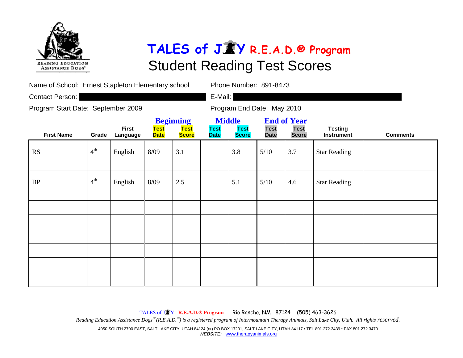

| Name of School: Ernest Stapleton Elementary school | Phone Number: 891-8473 |                          |                            |                                                 |                                             |                             |                            |                                                   |                                     |                 |
|----------------------------------------------------|------------------------|--------------------------|----------------------------|-------------------------------------------------|---------------------------------------------|-----------------------------|----------------------------|---------------------------------------------------|-------------------------------------|-----------------|
| Contact Person:                                    |                        |                          |                            |                                                 | E-Mail:                                     |                             |                            |                                                   |                                     |                 |
| Program Start Date: September 2009                 |                        |                          |                            |                                                 | Program End Date: May 2010                  |                             |                            |                                                   |                                     |                 |
| <b>First Name</b>                                  | Grade                  | <b>First</b><br>Language | <b>Test</b><br><b>Date</b> | <b>Beginning</b><br><b>Test</b><br><b>Score</b> | <b>Middle</b><br><b>Test</b><br><b>Date</b> | <b>Test</b><br><b>Score</b> | <b>Test</b><br><b>Date</b> | <b>End of Year</b><br><b>Test</b><br><b>Score</b> | <b>Testing</b><br><b>Instrument</b> | <b>Comments</b> |
| RS                                                 | $4^{\text{th}}$        | English                  | 8/09                       | 3.1                                             |                                             | 3.8                         | 5/10                       | 3.7                                               | <b>Star Reading</b>                 |                 |
|                                                    |                        |                          |                            |                                                 |                                             |                             |                            |                                                   |                                     |                 |
| BP                                                 | $4^{th}$               | English                  | 8/09                       | 2.5                                             |                                             | 5.1                         | 5/10                       | 4.6                                               | <b>Star Reading</b>                 |                 |
|                                                    |                        |                          |                            |                                                 |                                             |                             |                            |                                                   |                                     |                 |
|                                                    |                        |                          |                            |                                                 |                                             |                             |                            |                                                   |                                     |                 |
|                                                    |                        |                          |                            |                                                 |                                             |                             |                            |                                                   |                                     |                 |
|                                                    |                        |                          |                            |                                                 |                                             |                             |                            |                                                   |                                     |                 |
|                                                    |                        |                          |                            |                                                 |                                             |                             |                            |                                                   |                                     |                 |
|                                                    |                        |                          |                            |                                                 |                                             |                             |                            |                                                   |                                     |                 |
|                                                    |                        |                          |                            |                                                 |                                             |                             |                            |                                                   |                                     |                 |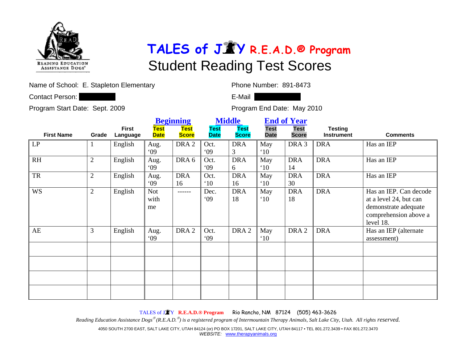

Name of School: E. Stapleton Elementary **Phone Number: 891-8473** 

Contact Person: Contact Person: Contact Person: Contact Person: Contact Person: Contact Person: Contact Person:

Program Start Date: Sept. 2009 Program End Date: May 2010

|                   |                |                          |                     | <b>Beginning</b>            |                            | <b>Middle</b>               | <b>End of Year</b>         |                             |                                     |                                                                                                                |
|-------------------|----------------|--------------------------|---------------------|-----------------------------|----------------------------|-----------------------------|----------------------------|-----------------------------|-------------------------------------|----------------------------------------------------------------------------------------------------------------|
| <b>First Name</b> | Grade          | <b>First</b><br>Language | Test<br><b>Date</b> | <b>Test</b><br><b>Score</b> | <b>Test</b><br><b>Date</b> | <b>Test</b><br><b>Score</b> | <b>Test</b><br><b>Date</b> | <b>Test</b><br><b>Score</b> | <b>Testing</b><br><b>Instrument</b> | <b>Comments</b>                                                                                                |
| LP                |                | English                  | Aug.<br>09          | DRA <sub>2</sub>            | Oct.<br>09                 | <b>DRA</b><br>3             | May<br>$^{\circ}10$        | DRA <sub>3</sub>            | <b>DRA</b>                          | Has an IEP                                                                                                     |
| RH                | $\overline{2}$ | English                  | Aug.<br>09          | DRA 6                       | Oct.<br>09                 | <b>DRA</b><br>6             | May<br>$^{\circ}10$        | <b>DRA</b><br>14            | <b>DRA</b>                          | Has an IEP                                                                                                     |
| ${\rm TR}$        | $\overline{2}$ | English                  | Aug.<br>09          | <b>DRA</b><br>16            | Oct.<br>$^{\circ}10$       | <b>DRA</b><br>16            | May<br>$^{\circ}10$        | <b>DRA</b><br>30            | <b>DRA</b>                          | Has an IEP                                                                                                     |
| <b>WS</b>         | $\overline{2}$ | English                  | Not<br>with<br>me   | ------                      | Dec.<br>09                 | <b>DRA</b><br>18            | May<br>$^{\circ}10$        | <b>DRA</b><br>18            | <b>DRA</b>                          | Has an IEP. Can decode<br>at a level 24, but can<br>demonstrate adequate<br>comprehension above a<br>level 18. |
| AE                | 3              | English                  | Aug.<br>09          | DRA <sub>2</sub>            | Oct.<br>09                 | DRA <sub>2</sub>            | May<br>$^{\circ}10$        | DRA <sub>2</sub>            | <b>DRA</b>                          | Has an IEP (alternate<br>assessment)                                                                           |
|                   |                |                          |                     |                             |                            |                             |                            |                             |                                     |                                                                                                                |
|                   |                |                          |                     |                             |                            |                             |                            |                             |                                     |                                                                                                                |
|                   |                |                          |                     |                             |                            |                             |                            |                             |                                     |                                                                                                                |

TALES of J <sup>Y</sup>**R.E.A.D.® Program** Rio Rancho, NM 87124 (505) 463-3626

*Reading Education Assistance Dogs*® *(R.E.A.D.*® *) is a registered program of Intermountain Therapy Animals, Salt Lake City, Utah. All rights reserved.* 

4050 SOUTH 2700 EAST, SALT LAKE CITY, UTAH 84124 (or) PO BOX 17201, SALT LAKE CITY, UTAH 84117 • TEL 801.272.3439 • FAX 801.272.3470 *WEBSITE:* www.therapyanimals.org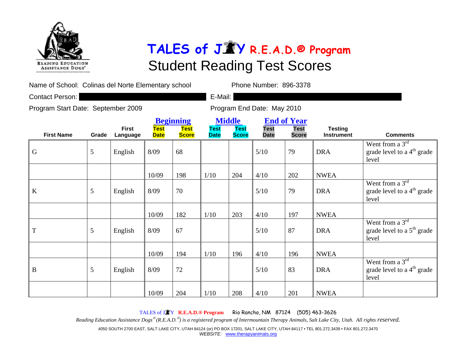

Name of School: Colinas del Norte Elementary school Phone Number: 896-3378

Contact Person: **E-Mail: E-Mail: E-Mail: E-Mail: E-Mail: E-Mail: E-Mail: E-Mail: E-Mail: E-Mail: E-Mail: E-Mail: E-Mail: E-Mail: E-Mail: E-Mail: E-Mail: E-Mail: E-Mail: E-Mail: E-Mai** 

Program Start Date: September 2009 Program End Date: May 2010

|                   |       |                          |                            | <b>Beginning</b>            |                            | <b>Middle</b>               | <b>End of Year</b>         |                             |                                     |                                                               |
|-------------------|-------|--------------------------|----------------------------|-----------------------------|----------------------------|-----------------------------|----------------------------|-----------------------------|-------------------------------------|---------------------------------------------------------------|
| <b>First Name</b> | Grade | <b>First</b><br>Language | <b>Test</b><br><b>Date</b> | <b>Test</b><br><b>Score</b> | <b>Test</b><br><b>Date</b> | <b>Test</b><br><b>Score</b> | <b>Test</b><br><b>Date</b> | <b>Test</b><br><b>Score</b> | <b>Testing</b><br><b>Instrument</b> | <b>Comments</b>                                               |
| $\mathbf G$       | 5     | English                  | 8/09                       | 68                          |                            |                             | 5/10                       | 79                          | <b>DRA</b>                          | Went from a $3rd$<br>grade level to a $4th$ grade<br>level    |
|                   |       |                          | 10/09                      | 198                         | 1/10                       | 204                         | 4/10                       | 202                         | <b>NWEA</b>                         |                                                               |
| $\bf K$           | 5     | English                  | 8/09                       | 70                          |                            |                             | 5/10                       | 79                          | <b>DRA</b>                          | Went from a $3^{rd}$<br>grade level to a $4th$ grade<br>level |
|                   |       |                          | 10/09                      | 182                         | 1/10                       | 203                         | 4/10                       | 197                         | <b>NWEA</b>                         |                                                               |
| T                 | 5     | English                  | 8/09                       | 67                          |                            |                             | 5/10                       | 87                          | <b>DRA</b>                          | Went from a $3rd$<br>grade level to a $5th$ grade<br>level    |
|                   |       |                          | 10/09                      | 194                         | 1/10                       | 196                         | 4/10                       | 196                         | <b>NWEA</b>                         |                                                               |
| $\bf{B}$          | 5     | English                  | 8/09                       | 72                          |                            |                             | 5/10                       | 83                          | <b>DRA</b>                          | Went from a $3rd$<br>grade level to a $4th$ grade<br>level    |
|                   |       |                          | 10/09                      | 204                         | 1/10                       | 208                         | 4/10                       | 201                         | <b>NWEA</b>                         |                                                               |

TALES of J <sup>Y</sup>**R.E.A.D.® Program** Rio Rancho, NM 87124 (505) 463-3626

*Reading Education Assistance Dogs*® *(R.E.A.D.*® *) is a registered program of Intermountain Therapy Animals, Salt Lake City, Utah. All rights reserved.* 

4050 SOUTH 2700 EAST, SALT LAKE CITY, UTAH 84124 (or) PO BOX 17201, SALT LAKE CITY, UTAH 84117 • TEL 801.272.3439 • FAX 801.272.3470 *WEBSITE:* www.therapyanimals.org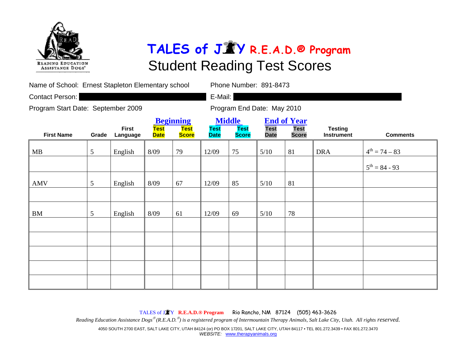

| Name of School: Ernest Stapleton Elementary school |                 |                          |                            | Phone Number: 891-8473                          |                            |                                              |                            |                                                   |                                     |                           |  |  |
|----------------------------------------------------|-----------------|--------------------------|----------------------------|-------------------------------------------------|----------------------------|----------------------------------------------|----------------------------|---------------------------------------------------|-------------------------------------|---------------------------|--|--|
| Contact Person:                                    |                 |                          |                            |                                                 | E-Mail:                    |                                              |                            |                                                   |                                     |                           |  |  |
| Program Start Date: September 2009                 |                 |                          |                            |                                                 | Program End Date: May 2010 |                                              |                            |                                                   |                                     |                           |  |  |
| <b>First Name</b>                                  | Grade           | <b>First</b><br>Language | <b>Test</b><br><b>Date</b> | <b>Beginning</b><br><b>Test</b><br><b>Score</b> | <b>Test</b><br><b>Date</b> | <b>Middle</b><br><b>Test</b><br><b>Score</b> | <b>Test</b><br><b>Date</b> | <b>End of Year</b><br><b>Test</b><br><b>Score</b> | <b>Testing</b><br><b>Instrument</b> | <b>Comments</b>           |  |  |
| MB                                                 | 5               | English                  | 8/09                       | 79                                              | 12/09                      | 75                                           | 5/10                       | 81                                                | <b>DRA</b>                          | $4^{th} = 74 - 83$        |  |  |
|                                                    |                 |                          |                            |                                                 |                            |                                              |                            |                                                   |                                     | $5^{\text{th}} = 84 - 93$ |  |  |
| AMV                                                | $\overline{5}$  | English                  | 8/09                       | 67                                              | 12/09                      | 85                                           | 5/10                       | 81                                                |                                     |                           |  |  |
| <b>BM</b>                                          | $5\overline{)}$ | English                  | 8/09                       | 61                                              | 12/09                      | 69                                           | 5/10                       | 78                                                |                                     |                           |  |  |
|                                                    |                 |                          |                            |                                                 |                            |                                              |                            |                                                   |                                     |                           |  |  |
|                                                    |                 |                          |                            |                                                 |                            |                                              |                            |                                                   |                                     |                           |  |  |
|                                                    |                 |                          |                            |                                                 |                            |                                              |                            |                                                   |                                     |                           |  |  |
|                                                    |                 |                          |                            |                                                 |                            |                                              |                            |                                                   |                                     |                           |  |  |
|                                                    |                 |                          |                            |                                                 |                            |                                              |                            |                                                   |                                     |                           |  |  |

TALES of J <sup>Y</sup>**R.E.A.D.® Program** Rio Rancho, NM 87124 (505) 463-3626 *Reading Education Assistance Dogs*® *(R.E.A.D.*® *) is a registered program of Intermountain Therapy Animals, Salt Lake City, Utah. All rights reserved.*  4050 SOUTH 2700 EAST, SALT LAKE CITY, UTAH 84124 (or) PO BOX 17201, SALT LAKE CITY, UTAH 84117 • TEL 801.272.3439 • FAX 801.272.3470 *WEBSITE:* www.therapyanimals.org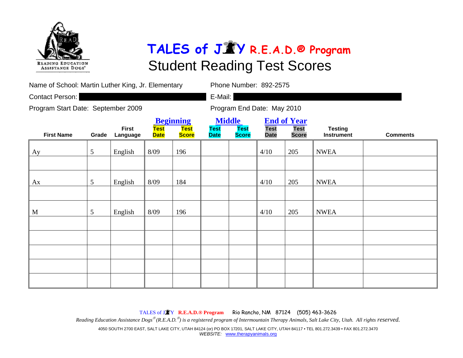

| Name of School: Martin Luther King, Jr. Elementary | Phone Number: 892-2575 |                          |                            |                                                 |                            |                                              |                            |                                                   |                                     |                 |  |  |
|----------------------------------------------------|------------------------|--------------------------|----------------------------|-------------------------------------------------|----------------------------|----------------------------------------------|----------------------------|---------------------------------------------------|-------------------------------------|-----------------|--|--|
| Contact Person:                                    |                        |                          |                            |                                                 | E-Mail:                    |                                              |                            |                                                   |                                     |                 |  |  |
| Program Start Date: September 2009                 |                        |                          |                            |                                                 | Program End Date: May 2010 |                                              |                            |                                                   |                                     |                 |  |  |
| <b>First Name</b>                                  | Grade                  | <b>First</b><br>Language | <b>Test</b><br><b>Date</b> | <b>Beginning</b><br><b>Test</b><br><b>Score</b> | <b>Test</b><br><b>Date</b> | <b>Middle</b><br><b>Test</b><br><b>Score</b> | <b>Test</b><br><b>Date</b> | <b>End of Year</b><br><b>Test</b><br><b>Score</b> | <b>Testing</b><br><b>Instrument</b> | <b>Comments</b> |  |  |
| Ay                                                 | 5                      | English                  | 8/09                       | 196                                             |                            |                                              | 4/10                       | 205                                               | <b>NWEA</b>                         |                 |  |  |
|                                                    |                        |                          |                            |                                                 |                            |                                              |                            |                                                   |                                     |                 |  |  |
| Ax                                                 | 5                      | English                  | 8/09                       | 184                                             |                            |                                              | 4/10                       | 205                                               | <b>NWEA</b>                         |                 |  |  |
|                                                    |                        |                          |                            |                                                 |                            |                                              |                            |                                                   |                                     |                 |  |  |
| $\mathbf{M}$                                       | 5                      | English                  | 8/09                       | 196                                             |                            |                                              | 4/10                       | 205                                               | <b>NWEA</b>                         |                 |  |  |
|                                                    |                        |                          |                            |                                                 |                            |                                              |                            |                                                   |                                     |                 |  |  |
|                                                    |                        |                          |                            |                                                 |                            |                                              |                            |                                                   |                                     |                 |  |  |
|                                                    |                        |                          |                            |                                                 |                            |                                              |                            |                                                   |                                     |                 |  |  |
|                                                    |                        |                          |                            |                                                 |                            |                                              |                            |                                                   |                                     |                 |  |  |
|                                                    |                        |                          |                            |                                                 |                            |                                              |                            |                                                   |                                     |                 |  |  |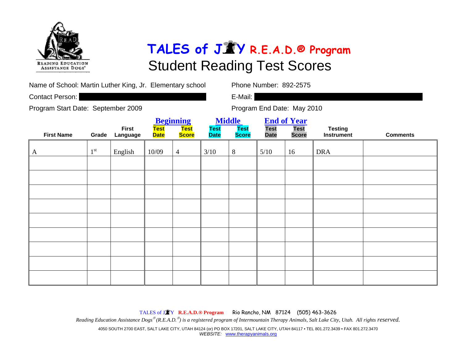

Name of School: Martin Luther King, Jr. Elementary school Phone Number: 892-2575

Contact Person: **E-Mail: E-Mail: E-Mail: E-Mail: E-Mail: E-Mail: E-Mail: E-Mail: E-Mail: E-Mail: E-Mail: E-Mail: E-Mail: E-Mail: E-Mail: E-Mail: E-Mail: E-Mail: E-Mail: E-Mail: E-Mai** 

Program Start Date: September 2009 Program End Date: May 2010

|                   |                 |                          |                     | <b>Beginning</b>     | <b>Middle</b>              |                             |                            | <b>End of Year</b>          |                              |                 |
|-------------------|-----------------|--------------------------|---------------------|----------------------|----------------------------|-----------------------------|----------------------------|-----------------------------|------------------------------|-----------------|
| <b>First Name</b> | Grade           | <b>First</b><br>Language | Test<br><b>Date</b> | Test<br><b>Score</b> | <b>Test</b><br><b>Date</b> | <b>Test</b><br><b>Score</b> | <b>Test</b><br><b>Date</b> | <b>Test</b><br><b>Score</b> | <b>Testing</b><br>Instrument | <b>Comments</b> |
| $\mathbf{A}$      | 1 <sup>st</sup> | English                  | 10/09               | $\overline{4}$       | $3/10$                     | $8\,$                       | 5/10                       | 16                          | <b>DRA</b>                   |                 |
|                   |                 |                          |                     |                      |                            |                             |                            |                             |                              |                 |
|                   |                 |                          |                     |                      |                            |                             |                            |                             |                              |                 |
|                   |                 |                          |                     |                      |                            |                             |                            |                             |                              |                 |
|                   |                 |                          |                     |                      |                            |                             |                            |                             |                              |                 |
|                   |                 |                          |                     |                      |                            |                             |                            |                             |                              |                 |
|                   |                 |                          |                     |                      |                            |                             |                            |                             |                              |                 |
|                   |                 |                          |                     |                      |                            |                             |                            |                             |                              |                 |
|                   |                 |                          |                     |                      |                            |                             |                            |                             |                              |                 |
|                   |                 |                          |                     |                      |                            |                             |                            |                             |                              |                 |

TALES of J <sup>Y</sup>**R.E.A.D.® Program** Rio Rancho, NM 87124 (505) 463-3626 *Reading Education Assistance Dogs*® *(R.E.A.D.*® *) is a registered program of Intermountain Therapy Animals, Salt Lake City, Utah. All rights reserved.*  4050 SOUTH 2700 EAST, SALT LAKE CITY, UTAH 84124 (or) PO BOX 17201, SALT LAKE CITY, UTAH 84117 • TEL 801.272.3439 • FAX 801.272.3470 *WEBSITE:* www.therapyanimals.org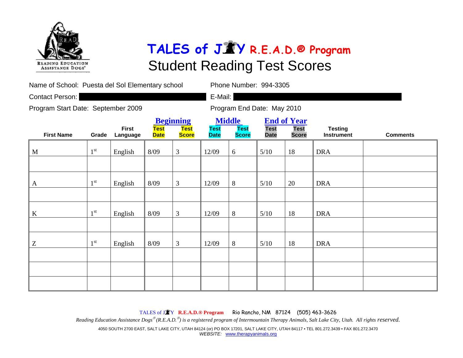

| Name of School: Puesta del Sol Elementary school |                 |                          |                            |                                                 | Phone Number: 994-3305                                                                                                                                        |                            |      |    |                                                        |  |  |
|--------------------------------------------------|-----------------|--------------------------|----------------------------|-------------------------------------------------|---------------------------------------------------------------------------------------------------------------------------------------------------------------|----------------------------|------|----|--------------------------------------------------------|--|--|
| Contact Person:                                  |                 |                          |                            |                                                 | E-Mail:                                                                                                                                                       |                            |      |    |                                                        |  |  |
| Program Start Date: September 2009               |                 |                          |                            |                                                 |                                                                                                                                                               | Program End Date: May 2010 |      |    |                                                        |  |  |
| <b>First Name</b>                                | Grade           | <b>First</b><br>Language | <b>Test</b><br><b>Date</b> | <b>Beginning</b><br><b>Test</b><br><b>Score</b> | <b>Middle</b><br><b>End of Year</b><br><b>Test</b><br><b>Test</b><br><b>Test</b><br><b>Test</b><br><b>Score</b><br><b>Date</b><br><b>Score</b><br><b>Date</b> |                            |      |    | <b>Testing</b><br><b>Comments</b><br><b>Instrument</b> |  |  |
| M                                                | $1^{\rm st}$    | English                  | 8/09                       | 3                                               | 12/09                                                                                                                                                         | 6                          | 5/10 | 18 | <b>DRA</b>                                             |  |  |
|                                                  |                 |                          |                            |                                                 |                                                                                                                                                               |                            |      |    |                                                        |  |  |
| $\mathbf{A}$                                     | 1 <sup>st</sup> | English                  | 8/09                       | 3                                               | 12/09                                                                                                                                                         | 8                          | 5/10 | 20 | <b>DRA</b>                                             |  |  |
|                                                  |                 |                          |                            |                                                 |                                                                                                                                                               |                            |      |    |                                                        |  |  |
| $\bf K$                                          | $1^{\rm st}$    | English                  | 8/09                       | 3                                               | 12/09                                                                                                                                                         | 8                          | 5/10 | 18 | <b>DRA</b>                                             |  |  |
|                                                  |                 |                          |                            |                                                 |                                                                                                                                                               |                            |      |    |                                                        |  |  |
| Z                                                | 1 <sup>st</sup> | English                  | 8/09                       | 3                                               | 12/09                                                                                                                                                         | 8                          | 5/10 | 18 | <b>DRA</b>                                             |  |  |
|                                                  |                 |                          |                            |                                                 |                                                                                                                                                               |                            |      |    |                                                        |  |  |
|                                                  |                 |                          |                            |                                                 |                                                                                                                                                               |                            |      |    |                                                        |  |  |
|                                                  |                 |                          |                            |                                                 |                                                                                                                                                               |                            |      |    |                                                        |  |  |

TALES of J <sup>Y</sup>**R.E.A.D.® Program** Rio Rancho, NM 87124 (505) 463-3626

*Reading Education Assistance Dogs*® *(R.E.A.D.*® *) is a registered program of Intermountain Therapy Animals, Salt Lake City, Utah. All rights reserved.* 

4050 SOUTH 2700 EAST, SALT LAKE CITY, UTAH 84124 (or) PO BOX 17201, SALT LAKE CITY, UTAH 84117 • TEL 801.272.3439 • FAX 801.272.3470 *WEBSITE:* www.therapyanimals.org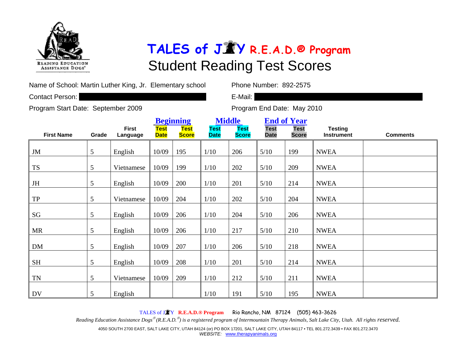

Name of School: Martin Luther King, Jr. Elementary school Phone Number: 892-2575

Contact Person: **E-Mail: E-Mail: E-Mail: E-Mail: E-Mail: E-Mail: E-Mail: E-Mail: E-Mail: E-Mail: E-Mail: E-Mail: E-Mail: E-Mail: E-Mail: E-Mail: E-Mail: E-Mail: E-Mail: E-Mail: E-Mai** 

Program Start Date: September 2009 Program End Date: May 2010

|                        |       |                          |                     | <b>Beginning</b>            |                            | <b>Middle</b>               | <b>End of Year</b>         |                             |                                     |                 |
|------------------------|-------|--------------------------|---------------------|-----------------------------|----------------------------|-----------------------------|----------------------------|-----------------------------|-------------------------------------|-----------------|
| <b>First Name</b>      | Grade | <b>First</b><br>Language | Test<br><b>Date</b> | <b>Test</b><br><b>Score</b> | <b>Test</b><br><b>Date</b> | <b>Test</b><br><b>Score</b> | <b>Test</b><br><b>Date</b> | <b>Test</b><br><b>Score</b> | <b>Testing</b><br><b>Instrument</b> | <b>Comments</b> |
| JM                     | 5     | English                  | 10/09               | 195                         | 1/10                       | 206                         | 5/10                       | 199                         | <b>NWEA</b>                         |                 |
| <b>TS</b>              | 5     | Vietnamese               | 10/09               | 199                         | 1/10                       | 202                         | 5/10                       | 209                         | <b>NWEA</b>                         |                 |
| $J\mathrm{H}$          | 5     | English                  | 10/09               | 200                         | 1/10                       | 201                         | 5/10                       | 214                         | <b>NWEA</b>                         |                 |
| ${\rm TP}$             | 5     | Vietnamese               | 10/09               | 204                         | 1/10                       | 202                         | 5/10                       | 204                         | <b>NWEA</b>                         |                 |
| $\mathbf{S}\mathbf{G}$ | 5     | English                  | 10/09               | 206                         | 1/10                       | 204                         | 5/10                       | 206                         | <b>NWEA</b>                         |                 |
| <b>MR</b>              | 5     | English                  | 10/09               | 206                         | 1/10                       | 217                         | 5/10                       | 210                         | <b>NWEA</b>                         |                 |
| DM                     | 5     | English                  | 10/09               | 207                         | 1/10                       | 206                         | 5/10                       | 218                         | <b>NWEA</b>                         |                 |
| <b>SH</b>              | 5     | English                  | 10/09               | 208                         | 1/10                       | 201                         | 5/10                       | 214                         | <b>NWEA</b>                         |                 |
| <b>TN</b>              | 5     | Vietnamese               | 10/09               | 209                         | 1/10                       | 212                         | 5/10                       | 211                         | <b>NWEA</b>                         |                 |
| DV                     | 5     | English                  |                     |                             | 1/10                       | 191                         | 5/10                       | 195                         | <b>NWEA</b>                         |                 |

TALES of J <sup>Y</sup>**R.E.A.D.® Program** Rio Rancho, NM 87124 (505) 463-3626

*Reading Education Assistance Dogs*® *(R.E.A.D.*® *) is a registered program of Intermountain Therapy Animals, Salt Lake City, Utah. All rights reserved.* 

4050 SOUTH 2700 EAST, SALT LAKE CITY, UTAH 84124 (or) PO BOX 17201, SALT LAKE CITY, UTAH 84117 • TEL 801.272.3439 • FAX 801.272.3470 *WEBSITE:* www.therapyanimals.org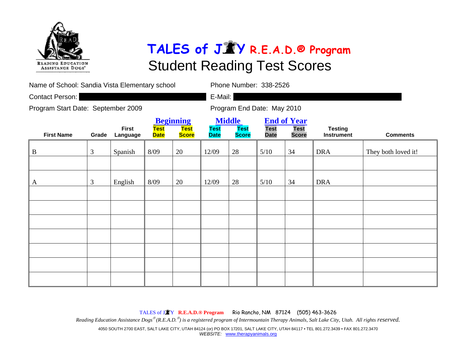

| Name of School: Sandia Vista Elementary school |       |                          |                            |                                                 | Phone Number: 338-2526     |                                              |                            |                                                   |                                     |                     |  |  |
|------------------------------------------------|-------|--------------------------|----------------------------|-------------------------------------------------|----------------------------|----------------------------------------------|----------------------------|---------------------------------------------------|-------------------------------------|---------------------|--|--|
| Contact Person:                                |       |                          |                            |                                                 | E-Mail:                    |                                              |                            |                                                   |                                     |                     |  |  |
| Program Start Date: September 2009             |       |                          |                            |                                                 |                            | Program End Date: May 2010                   |                            |                                                   |                                     |                     |  |  |
| <b>First Name</b>                              | Grade | <b>First</b><br>Language | <b>Test</b><br><b>Date</b> | <b>Beginning</b><br><b>Test</b><br><b>Score</b> | <b>Test</b><br><b>Date</b> | <b>Middle</b><br><b>Test</b><br><b>Score</b> | <b>Test</b><br><b>Date</b> | <b>End of Year</b><br><b>Test</b><br><b>Score</b> | <b>Testing</b><br><b>Instrument</b> | <b>Comments</b>     |  |  |
| $\mathbf{B}$                                   | 3     | Spanish                  | 8/09                       | 20                                              | 12/09                      | 28                                           | 5/10                       | 34                                                | <b>DRA</b>                          | They both loved it! |  |  |
|                                                |       |                          |                            |                                                 |                            |                                              |                            |                                                   |                                     |                     |  |  |
| A                                              | 3     | English                  | 8/09                       | 20                                              | 12/09                      | 28                                           | 5/10                       | 34                                                | <b>DRA</b>                          |                     |  |  |
|                                                |       |                          |                            |                                                 |                            |                                              |                            |                                                   |                                     |                     |  |  |
|                                                |       |                          |                            |                                                 |                            |                                              |                            |                                                   |                                     |                     |  |  |
|                                                |       |                          |                            |                                                 |                            |                                              |                            |                                                   |                                     |                     |  |  |
|                                                |       |                          |                            |                                                 |                            |                                              |                            |                                                   |                                     |                     |  |  |
|                                                |       |                          |                            |                                                 |                            |                                              |                            |                                                   |                                     |                     |  |  |
|                                                |       |                          |                            |                                                 |                            |                                              |                            |                                                   |                                     |                     |  |  |
|                                                |       |                          |                            |                                                 |                            |                                              |                            |                                                   |                                     |                     |  |  |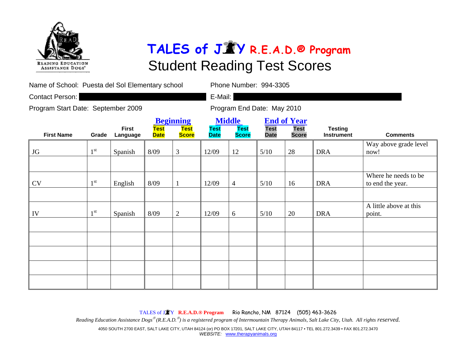

| Name of School: Puesta del Sol Elementary school |                            |                                                 |                            | Phone Number: 994-3305                       |                                                                                 |                            |                                     |                 |            |                                          |  |
|--------------------------------------------------|----------------------------|-------------------------------------------------|----------------------------|----------------------------------------------|---------------------------------------------------------------------------------|----------------------------|-------------------------------------|-----------------|------------|------------------------------------------|--|
| Contact Person:                                  |                            |                                                 |                            |                                              | E-Mail:                                                                         |                            |                                     |                 |            |                                          |  |
| Program Start Date: September 2009               |                            |                                                 |                            |                                              |                                                                                 | Program End Date: May 2010 |                                     |                 |            |                                          |  |
| <b>First Name</b>                                | <b>Test</b><br><b>Date</b> | <b>Beginning</b><br><b>Test</b><br><b>Score</b> | <b>Test</b><br><b>Date</b> | <b>Middle</b><br><b>Test</b><br><b>Score</b> | <b>End of Year</b><br><b>Test</b><br><b>Test</b><br><b>Date</b><br><b>Score</b> |                            | <b>Testing</b><br><b>Instrument</b> | <b>Comments</b> |            |                                          |  |
| JG                                               | 1 <sup>st</sup>            | Spanish                                         | 8/09                       | $\overline{3}$                               | 12/09                                                                           | 12                         | 5/10                                | 28              | <b>DRA</b> | Way above grade level<br>now!            |  |
| <b>CV</b>                                        | 1 <sup>st</sup>            | English                                         | 8/09                       |                                              | 12/09                                                                           | $\overline{4}$             | 5/10                                | 16              | <b>DRA</b> | Where he needs to be<br>to end the year. |  |
| IV                                               | 1 <sup>st</sup>            | Spanish                                         | 8/09                       | $\overline{2}$                               | 12/09                                                                           | 6                          | 5/10                                | 20              | <b>DRA</b> | A little above at this<br>point.         |  |
|                                                  |                            |                                                 |                            |                                              |                                                                                 |                            |                                     |                 |            |                                          |  |
|                                                  |                            |                                                 |                            |                                              |                                                                                 |                            |                                     |                 |            |                                          |  |
|                                                  |                            |                                                 |                            |                                              |                                                                                 |                            |                                     |                 |            |                                          |  |
|                                                  |                            |                                                 |                            |                                              |                                                                                 |                            |                                     |                 |            |                                          |  |

TALES of J <sup>Y</sup>**R.E.A.D.® Program** Rio Rancho, NM 87124 (505) 463-3626 *Reading Education Assistance Dogs*® *(R.E.A.D.*® *) is a registered program of Intermountain Therapy Animals, Salt Lake City, Utah. All rights reserved.*  4050 SOUTH 2700 EAST, SALT LAKE CITY, UTAH 84124 (or) PO BOX 17201, SALT LAKE CITY, UTAH 84117 • TEL 801.272.3439 • FAX 801.272.3470 *WEBSITE:* www.therapyanimals.org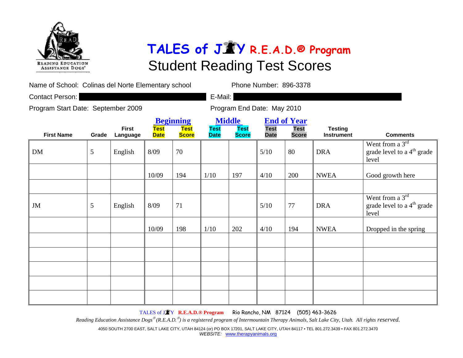

Name of School: Colinas del Norte Elementary school Phone Number: 896-3378

Contact Person: **E-Mail: E-Mail: E-Mail: E-Mail: E-Mail: E-Mail: E-Mail: E-Mail: E-Mail: E-Mail: E-Mail: E-Mail: E-Mail: E-Mail: E-Mail: E-Mail: E-Mail: E-Mail: E-Mail: E-Mail: E-Mai** 

Program Start Date: September 2009 Program End Date: May 2010

|                   |       |                          | <b>Beginning</b>    |                             | <b>Middle</b>              |                      | <b>End of Year</b>         |                             |                                     |                                                                      |
|-------------------|-------|--------------------------|---------------------|-----------------------------|----------------------------|----------------------|----------------------------|-----------------------------|-------------------------------------|----------------------------------------------------------------------|
| <b>First Name</b> | Grade | <b>First</b><br>Language | Test<br><b>Date</b> | <b>Test</b><br><b>Score</b> | <b>Test</b><br><b>Date</b> | Test<br><b>Score</b> | <b>Test</b><br><b>Date</b> | <b>Test</b><br><b>Score</b> | <b>Testing</b><br><b>Instrument</b> | <b>Comments</b>                                                      |
| DM                | 5     | English                  | 8/09                | 70                          |                            |                      | 5/10                       | 80                          | <b>DRA</b>                          | Went from a $3rd$<br>grade level to a $4th$ grade<br>level           |
|                   |       |                          | 10/09               | 194                         | $1/10$                     | 197                  | 4/10                       | 200                         | <b>NWEA</b>                         | Good growth here                                                     |
| JM                | 5     | English                  | 8/09                | 71                          |                            |                      | 5/10                       | 77                          | <b>DRA</b>                          | Went from a $3rd$<br>grade level to a 4 <sup>th</sup> grade<br>level |
|                   |       |                          | 10/09               | 198                         | 1/10                       | 202                  | 4/10                       | 194                         | <b>NWEA</b>                         | Dropped in the spring                                                |
|                   |       |                          |                     |                             |                            |                      |                            |                             |                                     |                                                                      |
|                   |       |                          |                     |                             |                            |                      |                            |                             |                                     |                                                                      |
|                   |       |                          |                     |                             |                            |                      |                            |                             |                                     |                                                                      |
|                   |       |                          |                     |                             |                            |                      |                            |                             |                                     |                                                                      |

TALES of J <sup>Y</sup>**R.E.A.D.® Program** Rio Rancho, NM 87124 (505) 463-3626

*Reading Education Assistance Dogs*® *(R.E.A.D.*® *) is a registered program of Intermountain Therapy Animals, Salt Lake City, Utah. All rights reserved.* 

4050 SOUTH 2700 EAST, SALT LAKE CITY, UTAH 84124 (or) PO BOX 17201, SALT LAKE CITY, UTAH 84117 • TEL 801.272.3439 • FAX 801.272.3470 *WEBSITE:* www.therapyanimals.org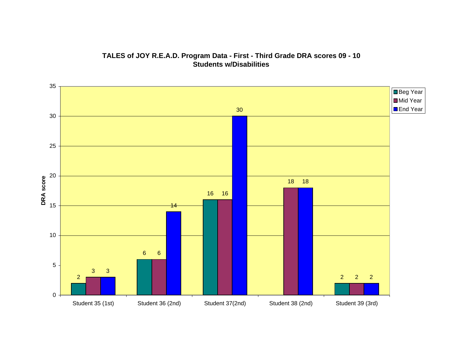#### **TALES of JOY R.E.A.D. Program Data - First - Third Grade DRA scores 09 - 10 Students w/Disabilities**

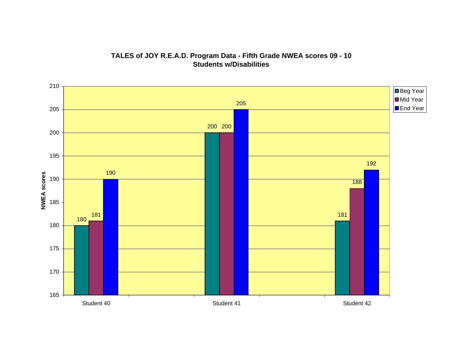

#### **TALES of JOY R.E.A.D. Program Data - Fifth Grade NWEA scores 09 - 10 Students w/Disabilities**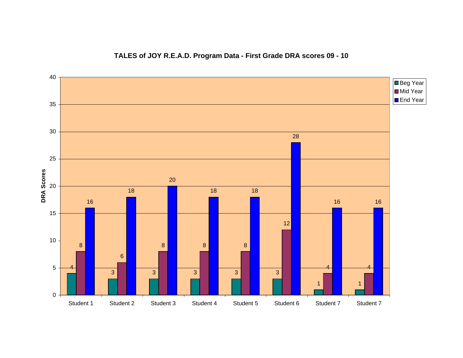#### **TALES of JOY R.E.A.D. Program Data - First Grade DRA scores 09 - 10**

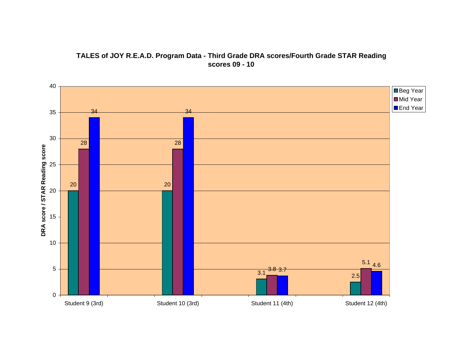

#### **TALES of JOY R.E.A.D. Program Data - Third Grade DRA scores/Fourth Grade STAR Reading scores 09 - 10**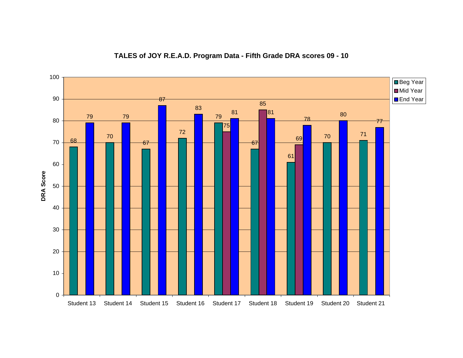

#### **TALES of JOY R.E.A.D. Program Data - Fifth Grade DRA scores 09 - 10**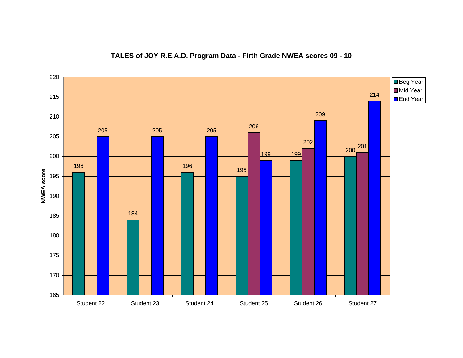#### **TALES of JOY R.E.A.D. Program Data - Firth Grade NWEA scores 09 - 10**